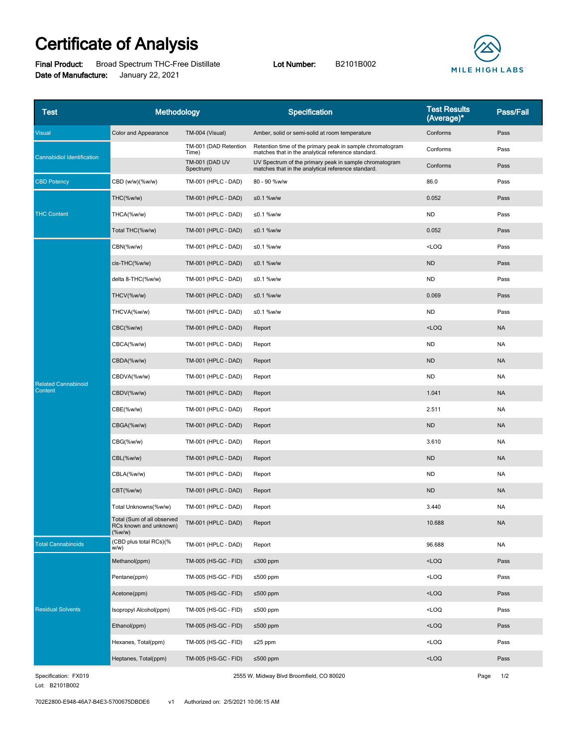## **Certificate of Analysis**

**Final Product:** Broad Spectrum THC-Free Distillate **Lot Number:** B2101B002 **Date of Manufacture:** January 22, 2021



| Test                              | Methodology                                                       |                                    | <b>Specification</b>                                                                                            | <b>Test Results</b><br>(Average)* | Pass/Fail |
|-----------------------------------|-------------------------------------------------------------------|------------------------------------|-----------------------------------------------------------------------------------------------------------------|-----------------------------------|-----------|
| Visual                            | Color and Appearance                                              | TM-004 (Visual)                    | Amber, solid or semi-solid at room temperature                                                                  | Conforms                          | Pass      |
| <b>Cannabidiol Identification</b> |                                                                   | TM-001 (DAD Retention<br>Time)     | Retention time of the primary peak in sample chromatogram<br>matches that in the analytical reference standard. | Conforms                          | Pass      |
|                                   |                                                                   | <b>TM-001 (DAD UV</b><br>Spectrum) | UV Spectrum of the primary peak in sample chromatogram<br>matches that in the analytical reference standard.    | Conforms                          | Pass      |
| <b>CBD Potency</b>                | CBD (w/w)(%w/w)                                                   | TM-001 (HPLC - DAD)                | 80 - 90 %w/w                                                                                                    | 86.0                              | Pass      |
| <b>THC Content</b>                | THC(%w/w)                                                         | <b>TM-001 (HPLC - DAD)</b>         | ≤0.1 %w/w                                                                                                       | 0.052                             | Pass      |
|                                   | THCA(%w/w)                                                        | TM-001 (HPLC - DAD)                | $≤0.1$ %w/w                                                                                                     | <b>ND</b>                         | Pass      |
|                                   | Total THC(%w/w)                                                   | TM-001 (HPLC - DAD)                | ≤0.1 %w/w                                                                                                       | 0.052                             | Pass      |
| <b>Related Cannabinoid</b>        | CBN(%w/w)                                                         | TM-001 (HPLC - DAD)                | ≤0.1 %w/w                                                                                                       | $<$ LOQ                           | Pass      |
|                                   | cis-THC(%w/w)                                                     | <b>TM-001 (HPLC - DAD)</b>         | ≤0.1 %w/w                                                                                                       | <b>ND</b>                         | Pass      |
|                                   | delta 8-THC(%w/w)                                                 | TM-001 (HPLC - DAD)                | ≤0.1 %w/w                                                                                                       | <b>ND</b>                         | Pass      |
|                                   | THCV(%w/w)                                                        | <b>TM-001 (HPLC - DAD)</b>         | ≤0.1 %w/w                                                                                                       | 0.069                             | Pass      |
|                                   | THCVA(%w/w)                                                       | TM-001 (HPLC - DAD)                | ≤0.1 %w/w                                                                                                       | <b>ND</b>                         | Pass      |
|                                   | CBC(%w/w)                                                         | TM-001 (HPLC - DAD)                | Report                                                                                                          | $<$ LOQ                           | <b>NA</b> |
|                                   | CBCA(%w/w)                                                        | TM-001 (HPLC - DAD)                | Report                                                                                                          | <b>ND</b>                         | <b>NA</b> |
|                                   | CBDA(%w/w)                                                        | <b>TM-001 (HPLC - DAD)</b>         | Report                                                                                                          | <b>ND</b>                         | <b>NA</b> |
|                                   | CBDVA(%w/w)                                                       | TM-001 (HPLC - DAD)                | Report                                                                                                          | <b>ND</b>                         | NA        |
| Content                           | CBDV(%w/w)                                                        | <b>TM-001 (HPLC - DAD)</b>         | Report                                                                                                          | 1.041                             | <b>NA</b> |
|                                   | CBE(%w/w)                                                         | TM-001 (HPLC - DAD)                | Report                                                                                                          | 2.511                             | <b>NA</b> |
|                                   | CBGA(%w/w)                                                        | <b>TM-001 (HPLC - DAD)</b>         | Report                                                                                                          | <b>ND</b>                         | <b>NA</b> |
|                                   | CBG(%w/w)                                                         | TM-001 (HPLC - DAD)                | Report                                                                                                          | 3.610                             | <b>NA</b> |
|                                   | CBL(%w/w)                                                         | <b>TM-001 (HPLC - DAD)</b>         | Report                                                                                                          | <b>ND</b>                         | <b>NA</b> |
|                                   | CBLA(%w/w)                                                        | TM-001 (HPLC - DAD)                | Report                                                                                                          | <b>ND</b>                         | <b>NA</b> |
|                                   | CBT(%w/w)                                                         | TM-001 (HPLC - DAD)                | Report                                                                                                          | <b>ND</b>                         | <b>NA</b> |
|                                   | Total Unknowns(%w/w)                                              | TM-001 (HPLC - DAD)                | Report                                                                                                          | 3.440                             | <b>NA</b> |
|                                   | Total (Sum of all observed<br>RCs known and unknown)<br>$(\%w/w)$ | TM-001 (HPLC - DAD)                | Report                                                                                                          | 10.688                            | $\sf NA$  |
| <b>Total Cannabinoids</b>         | (CBD plus total RCs)(%<br>w/w)                                    | TM-001 (HPLC - DAD)                | Report                                                                                                          | 96.688                            | <b>NA</b> |
| <b>Residual Solvents</b>          | Methanol(ppm)                                                     | TM-005 (HS-GC - FID)               | ≤300 ppm                                                                                                        | $<$ LOQ                           | Pass      |
|                                   | Pentane(ppm)                                                      | TM-005 (HS-GC - FID)               | ≤500 ppm                                                                                                        | $<$ LOQ                           | Pass      |
|                                   | Acetone(ppm)                                                      | TM-005 (HS-GC - FID)               | ≤500 ppm                                                                                                        | $<$ LOQ                           | Pass      |
|                                   | Isopropyl Alcohol(ppm)                                            | TM-005 (HS-GC - FID)               | ≤500 ppm                                                                                                        | $<$ LOQ                           | Pass      |
|                                   | Ethanol(ppm)                                                      | TM-005 (HS-GC - FID)               | ≤500 ppm                                                                                                        | $<$ LOQ                           | Pass      |
|                                   | Hexanes, Total(ppm)                                               | TM-005 (HS-GC - FID)               | $\leq$ 25 ppm                                                                                                   | $<$ LOQ                           | Pass      |
|                                   | Heptanes, Total(ppm)                                              | TM-005 (HS-GC - FID)               | ≤500 ppm                                                                                                        | $<$ LOQ                           | Pass      |

2555 W. Midway Blvd Broomfield, CO 80020 Page 1/2

Lot: B2101B002 Specification: FX019